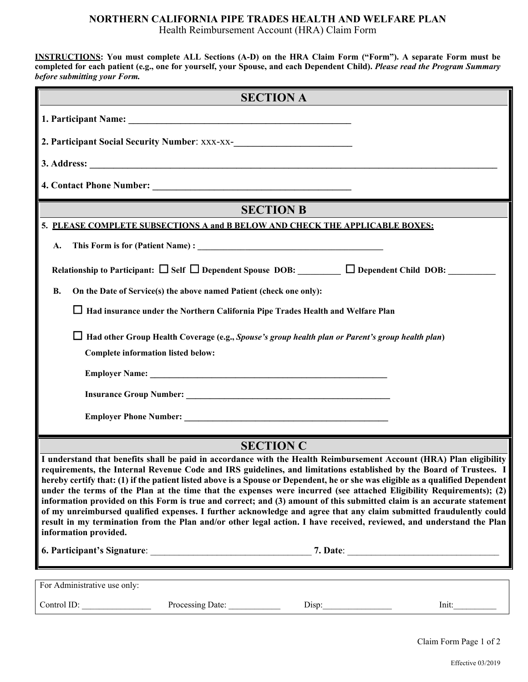**INSTRUCTIONS: You must complete ALL Sections (A-D) on the HRA Claim Form ("Form"). A separate Form must be completed for each patient (e.g., one for yourself, your Spouse, and each Dependent Child).** *Please read the Program Summary before submitting your Form.* 

|                                                                                                                                                                                                                                                                                                                                                                                                                                                                                                                                                                                                                                                                                                                                                                                                                                                                                                       |                  | <b>SECTION A</b>                                                                       |                                                                                                                       |
|-------------------------------------------------------------------------------------------------------------------------------------------------------------------------------------------------------------------------------------------------------------------------------------------------------------------------------------------------------------------------------------------------------------------------------------------------------------------------------------------------------------------------------------------------------------------------------------------------------------------------------------------------------------------------------------------------------------------------------------------------------------------------------------------------------------------------------------------------------------------------------------------------------|------------------|----------------------------------------------------------------------------------------|-----------------------------------------------------------------------------------------------------------------------|
|                                                                                                                                                                                                                                                                                                                                                                                                                                                                                                                                                                                                                                                                                                                                                                                                                                                                                                       |                  |                                                                                        |                                                                                                                       |
| 2. Participant Social Security Number: XXX-XX-<br><u>Land Contract Control Control Control Control Control Control Control Control Control Control Control Control Control Control Control Control Control Control Control Control</u>                                                                                                                                                                                                                                                                                                                                                                                                                                                                                                                                                                                                                                                                |                  |                                                                                        |                                                                                                                       |
|                                                                                                                                                                                                                                                                                                                                                                                                                                                                                                                                                                                                                                                                                                                                                                                                                                                                                                       |                  |                                                                                        |                                                                                                                       |
|                                                                                                                                                                                                                                                                                                                                                                                                                                                                                                                                                                                                                                                                                                                                                                                                                                                                                                       |                  |                                                                                        |                                                                                                                       |
|                                                                                                                                                                                                                                                                                                                                                                                                                                                                                                                                                                                                                                                                                                                                                                                                                                                                                                       |                  | <b>SECTION B</b>                                                                       |                                                                                                                       |
| 5. PLEASE COMPLETE SUBSECTIONS A and B BELOW AND CHECK THE APPLICABLE BOXES:                                                                                                                                                                                                                                                                                                                                                                                                                                                                                                                                                                                                                                                                                                                                                                                                                          |                  |                                                                                        |                                                                                                                       |
|                                                                                                                                                                                                                                                                                                                                                                                                                                                                                                                                                                                                                                                                                                                                                                                                                                                                                                       |                  |                                                                                        |                                                                                                                       |
| A.                                                                                                                                                                                                                                                                                                                                                                                                                                                                                                                                                                                                                                                                                                                                                                                                                                                                                                    |                  |                                                                                        |                                                                                                                       |
|                                                                                                                                                                                                                                                                                                                                                                                                                                                                                                                                                                                                                                                                                                                                                                                                                                                                                                       |                  |                                                                                        | Relationship to Participant: $\Box$ Self $\Box$ Dependent Spouse DOB: $\Box$ Dependent Child DOB: $\Box$              |
| On the Date of Service(s) the above named Patient (check one only):<br>В.                                                                                                                                                                                                                                                                                                                                                                                                                                                                                                                                                                                                                                                                                                                                                                                                                             |                  |                                                                                        |                                                                                                                       |
|                                                                                                                                                                                                                                                                                                                                                                                                                                                                                                                                                                                                                                                                                                                                                                                                                                                                                                       |                  | $\Box$ Had insurance under the Northern California Pipe Trades Health and Welfare Plan |                                                                                                                       |
|                                                                                                                                                                                                                                                                                                                                                                                                                                                                                                                                                                                                                                                                                                                                                                                                                                                                                                       |                  |                                                                                        | Had other Group Health Coverage (e.g., Spouse's group health plan or Parent's group health plan)                      |
| Complete information listed below:                                                                                                                                                                                                                                                                                                                                                                                                                                                                                                                                                                                                                                                                                                                                                                                                                                                                    |                  |                                                                                        |                                                                                                                       |
|                                                                                                                                                                                                                                                                                                                                                                                                                                                                                                                                                                                                                                                                                                                                                                                                                                                                                                       |                  |                                                                                        |                                                                                                                       |
|                                                                                                                                                                                                                                                                                                                                                                                                                                                                                                                                                                                                                                                                                                                                                                                                                                                                                                       |                  |                                                                                        |                                                                                                                       |
|                                                                                                                                                                                                                                                                                                                                                                                                                                                                                                                                                                                                                                                                                                                                                                                                                                                                                                       |                  |                                                                                        |                                                                                                                       |
|                                                                                                                                                                                                                                                                                                                                                                                                                                                                                                                                                                                                                                                                                                                                                                                                                                                                                                       |                  | <b>SECTION C</b>                                                                       |                                                                                                                       |
| I understand that benefits shall be paid in accordance with the Health Reimbursement Account (HRA) Plan eligibility<br>requirements, the Internal Revenue Code and IRS guidelines, and limitations established by the Board of Trustees. I<br>hereby certify that: (1) if the patient listed above is a Spouse or Dependent, he or she was eligible as a qualified Dependent<br>under the terms of the Plan at the time that the expenses were incurred (see attached Eligibility Requirements); (2)<br>information provided on this Form is true and correct; and (3) amount of this submitted claim is an accurate statement<br>of my unreimbursed qualified expenses. I further acknowledge and agree that any claim submitted fraudulently could<br>result in my termination from the Plan and/or other legal action. I have received, reviewed, and understand the Plan<br>information provided. |                  |                                                                                        |                                                                                                                       |
|                                                                                                                                                                                                                                                                                                                                                                                                                                                                                                                                                                                                                                                                                                                                                                                                                                                                                                       |                  |                                                                                        |                                                                                                                       |
|                                                                                                                                                                                                                                                                                                                                                                                                                                                                                                                                                                                                                                                                                                                                                                                                                                                                                                       |                  |                                                                                        | <u> 1989 - Johann Barbara, marka masjid ayyukar sa masjid ayyukar sa masjid ayyukar sa masjid ayyukar sa masjid a</u> |
| For Administrative use only:                                                                                                                                                                                                                                                                                                                                                                                                                                                                                                                                                                                                                                                                                                                                                                                                                                                                          |                  |                                                                                        |                                                                                                                       |
| Control ID:                                                                                                                                                                                                                                                                                                                                                                                                                                                                                                                                                                                                                                                                                                                                                                                                                                                                                           | Processing Date: | Disp:                                                                                  | Init:                                                                                                                 |

Claim Form Page 1 of 2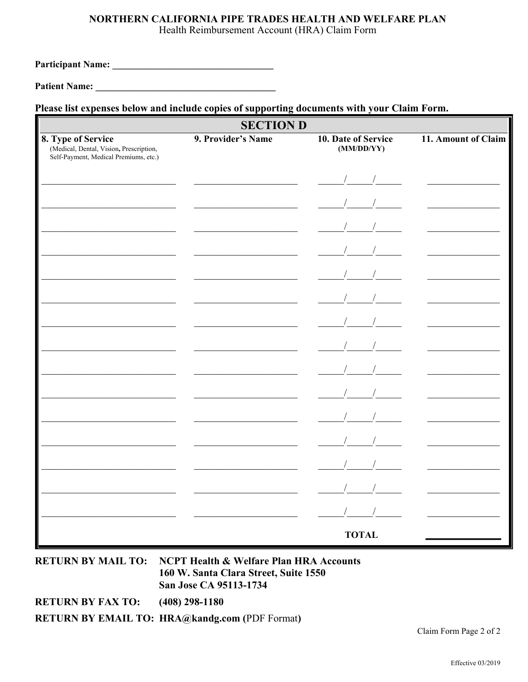# NORTHERN CALIFORNIA PIPE TRADES HEALTH AND WELFARE PLAN

Health Reimbursement Account (HRA) Claim Form

**Patient Name:** The Communication of the Communication of the Communication of the Communication of the Communication of the Communication of the Communication of the Communication of the Communication of the Communication

# Please list expenses below and include copies of supporting documents with your Claim Form.

| <b>SECTION D</b>                                                                                       |                    |                                   |                     |
|--------------------------------------------------------------------------------------------------------|--------------------|-----------------------------------|---------------------|
| 8. Type of Service<br>(Medical, Dental, Vision, Prescription,<br>Self-Payment, Medical Premiums, etc.) | 9. Provider's Name | 10. Date of Service<br>(MM/DD/YY) | 11. Amount of Claim |
|                                                                                                        |                    |                                   |                     |
|                                                                                                        |                    |                                   |                     |
|                                                                                                        |                    |                                   |                     |
|                                                                                                        |                    |                                   |                     |
|                                                                                                        |                    |                                   |                     |
|                                                                                                        |                    |                                   |                     |
|                                                                                                        |                    |                                   |                     |
|                                                                                                        |                    |                                   |                     |
|                                                                                                        |                    |                                   |                     |
|                                                                                                        |                    |                                   |                     |
|                                                                                                        |                    |                                   |                     |
|                                                                                                        |                    |                                   |                     |
|                                                                                                        |                    |                                   |                     |
|                                                                                                        |                    |                                   |                     |
|                                                                                                        |                    |                                   |                     |
|                                                                                                        |                    | <b>TOTAL</b>                      |                     |

**RETURN BY MAIL TO: NCPT Health & Welfare Plan HRA Accounts** 160 W. Santa Clara Street, Suite 1550 San Jose CA 95113-1734

**RETURN BY FAX TO:**  $(408)$  298-1180

**RETURN BY EMAIL TO: HRA@kandg.com (PDF Format)** 

Claim Form Page 2 of 2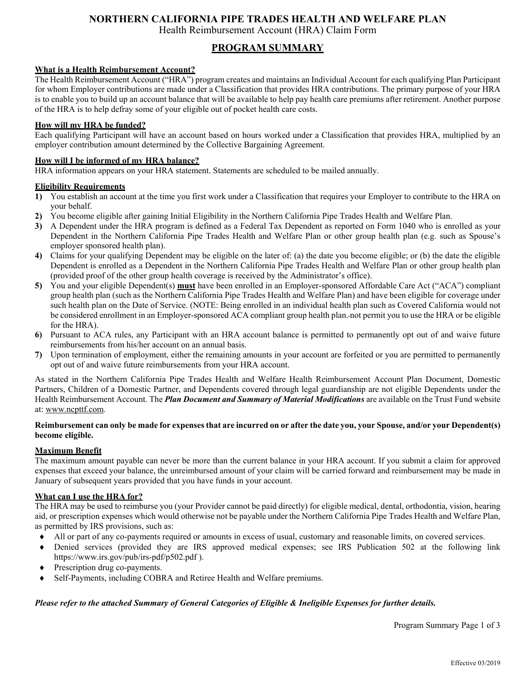# **NORTHERN CALIFORNIA PIPE TRADES HEALTH AND WELFARE PLAN**

Health Reimbursement Account (HRA) Claim Form

# **PROGRAM SUMMARY**

#### **What is a Health Reimbursement Account?**

The Health Reimbursement Account ("HRA") program creates and maintains an Individual Account for each qualifying Plan Participant for whom Employer contributions are made under a Classification that provides HRA contributions. The primary purpose of your HRA is to enable you to build up an account balance that will be available to help pay health care premiums after retirement. Another purpose of the HRA is to help defray some of your eligible out of pocket health care costs.

#### **How will my HRA be funded?**

Each qualifying Participant will have an account based on hours worked under a Classification that provides HRA, multiplied by an employer contribution amount determined by the Collective Bargaining Agreement.

#### **How will I be informed of my HRA balance?**

HRA information appears on your HRA statement. Statements are scheduled to be mailed annually.

#### **Eligibility Requirements**

- **1)** You establish an account at the time you first work under a Classification that requires your Employer to contribute to the HRA on your behalf.
- **2)** You become eligible after gaining Initial Eligibility in the Northern California Pipe Trades Health and Welfare Plan.
- **3)** A Dependent under the HRA program is defined as a Federal Tax Dependent as reported on Form 1040 who is enrolled as your Dependent in the Northern California Pipe Trades Health and Welfare Plan or other group health plan (e.g. such as Spouse's employer sponsored health plan).
- **4)** Claims for your qualifying Dependent may be eligible on the later of: (a) the date you become eligible; or (b) the date the eligible Dependent is enrolled as a Dependent in the Northern California Pipe Trades Health and Welfare Plan or other group health plan (provided proof of the other group health coverage is received by the Administrator's office).
- **5)** You and your eligible Dependent(s) **must** have been enrolled in an Employer-sponsored Affordable Care Act ("ACA") compliant group health plan (such as the Northern California Pipe Trades Health and Welfare Plan) and have been eligible for coverage under such health plan on the Date of Service. (NOTE: Being enrolled in an individual health plan such as Covered California would not be considered enrollment in an Employer-sponsored ACA compliant group health plan. not permit you to use the HRA or be eligible for the HRA).
- **6)** Pursuant to ACA rules, any Participant with an HRA account balance is permitted to permanently opt out of and waive future reimbursements from his/her account on an annual basis.
- **7)** Upon termination of employment, either the remaining amounts in your account are forfeited or you are permitted to permanently opt out of and waive future reimbursements from your HRA account.

As stated in the Northern California Pipe Trades Health and Welfare Health Reimbursement Account Plan Document, Domestic Partners, Children of a Domestic Partner, and Dependents covered through legal guardianship are not eligible Dependents under the Health Reimbursement Account. The *Plan Document and Summary of Material Modifications* are available on the Trust Fund website at: www.ncpttf.com.

#### **Reimbursement can only be made for expenses that are incurred on or after the date you, your Spouse, and/or your Dependent(s) become eligible.**

#### **Maximum Benefit**

The maximum amount payable can never be more than the current balance in your HRA account. If you submit a claim for approved expenses that exceed your balance, the unreimbursed amount of your claim will be carried forward and reimbursement may be made in January of subsequent years provided that you have funds in your account.

#### **What can I use the HRA for?**

The HRA may be used to reimburse you (your Provider cannot be paid directly) for eligible medical, dental, orthodontia, vision, hearing aid, or prescription expenses which would otherwise not be payable under the Northern California Pipe Trades Health and Welfare Plan, as permitted by IRS provisions, such as:

- All or part of any co-payments required or amounts in excess of usual, customary and reasonable limits, on covered services.
- Denied services (provided they are IRS approved medical expenses; see IRS Publication 502 at the following link https://www.irs.gov/pub/irs-pdf/p502.pdf ).
- Prescription drug co-payments.
- Self-Payments, including COBRA and Retiree Health and Welfare premiums.

#### *Please refer to the attached Summary of General Categories of Eligible & Ineligible Expenses for further details.*

Program Summary Page 1 of 3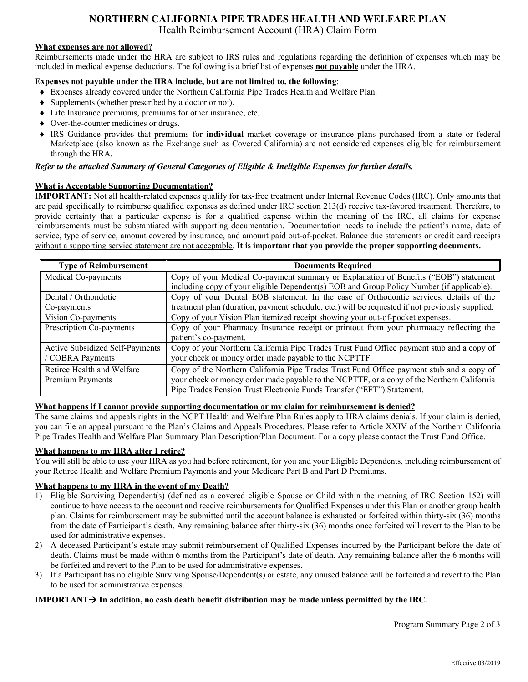# **NORTHERN CALIFORNIA PIPE TRADES HEALTH AND WELFARE PLAN**

Health Reimbursement Account (HRA) Claim Form

#### **What expenses are not allowed?**

Reimbursements made under the HRA are subject to IRS rules and regulations regarding the definition of expenses which may be included in medical expense deductions. The following is a brief list of expenses **not payable** under the HRA.

#### **Expenses not payable under the HRA include, but are not limited to, the following**:

- Expenses already covered under the Northern California Pipe Trades Health and Welfare Plan.
- Supplements (whether prescribed by a doctor or not).
- Life Insurance premiums, premiums for other insurance, etc.
- Over-the-counter medicines or drugs.
- IRS Guidance provides that premiums for **individual** market coverage or insurance plans purchased from a state or federal Marketplace (also known as the Exchange such as Covered California) are not considered expenses eligible for reimbursement through the HRA.

#### *Refer to the attached Summary of General Categories of Eligible & Ineligible Expenses for further details.*

#### **What is Acceptable Supporting Documentation?**

**IMPORTANT:** Not all health-related expenses qualify for tax-free treatment under Internal Revenue Codes (IRC). Only amounts that are paid specifically to reimburse qualified expenses as defined under IRC section 213(d) receive tax-favored treatment. Therefore, to provide certainty that a particular expense is for a qualified expense within the meaning of the IRC, all claims for expense reimbursements must be substantiated with supporting documentation. Documentation needs to include the patient's name, date of service, type of service, amount covered by insurance, and amount paid out-of-pocket. Balance due statements or credit card receipts without a supporting service statement are not acceptable. **It is important that you provide the proper supporting documents.** 

| <b>Type of Reimbursement</b>    | <b>Documents Required</b>                                                                       |
|---------------------------------|-------------------------------------------------------------------------------------------------|
| Medical Co-payments             | Copy of your Medical Co-payment summary or Explanation of Benefits ("EOB") statement            |
|                                 | including copy of your eligible Dependent(s) EOB and Group Policy Number (if applicable).       |
| Dental / Orthondotic            | Copy of your Dental EOB statement. In the case of Orthodontic services, details of the          |
| Co-payments                     | treatment plan (duration, payment schedule, etc.) will be requested if not previously supplied. |
| Vision Co-payments              | Copy of your Vision Plan itemized receipt showing your out-of-pocket expenses.                  |
| Prescription Co-payments        | Copy of your Pharmacy Insurance receipt or printout from your pharmaacy reflecting the          |
|                                 | patient's co-payment.                                                                           |
| Active Subsidized Self-Payments | Copy of your Northern California Pipe Trades Trust Fund Office payment stub and a copy of       |
| <b>COBRA Payments</b>           | your check or money order made payable to the NCPTTF.                                           |
| Retiree Health and Welfare      | Copy of the Northern California Pipe Trades Trust Fund Office payment stub and a copy of        |
| Premium Payments                | your check or money order made payable to the NCPTTF, or a copy of the Northern California      |
|                                 | Pipe Trades Pension Trust Electronic Funds Transfer ("EFT") Statement.                          |

#### **What happens if I cannot provide supporting documentation or my claim for reimbursement is denied?**

The same claims and appeals rights in the NCPT Health and Welfare Plan Rules apply to HRA claims denials. If your claim is denied, you can file an appeal pursuant to the Plan's Claims and Appeals Procedures. Please refer to Article XXIV of the Northern Califonria Pipe Trades Health and Welfare Plan Summary Plan Description/Plan Document. For a copy please contact the Trust Fund Office.

#### **What happens to my HRA after I retire?**

You will still be able to use your HRA as you had before retirement, for you and your Eligible Dependents, including reimbursement of your Retiree Health and Welfare Premium Payments and your Medicare Part B and Part D Premiums.

#### **What happens to my HRA in the event of my Death?**

- 1) Eligible Surviving Dependent(s) (defined as a covered eligible Spouse or Child within the meaning of IRC Section 152) will continue to have access to the account and receive reimbursements for Qualified Expenses under this Plan or another group health plan. Claims for reimbursement may be submitted until the account balance is exhausted or forfeited within thirty-six (36) months from the date of Participant's death. Any remaining balance after thirty-six (36) months once forfeited will revert to the Plan to be used for administrative expenses.
- 2) A deceased Participant's estate may submit reimbursement of Qualified Expenses incurred by the Participant before the date of death. Claims must be made within 6 months from the Participant's date of death. Any remaining balance after the 6 months will be forfeited and revert to the Plan to be used for administrative expenses.
- 3) If a Participant has no eligible Surviving Spouse/Dependent(s) or estate, any unused balance will be forfeited and revert to the Plan to be used for administrative expenses.

#### **IMPORTANT**  $\rightarrow$  In addition, no cash death benefit distribution may be made unless permitted by the IRC.

Program Summary Page 2 of 3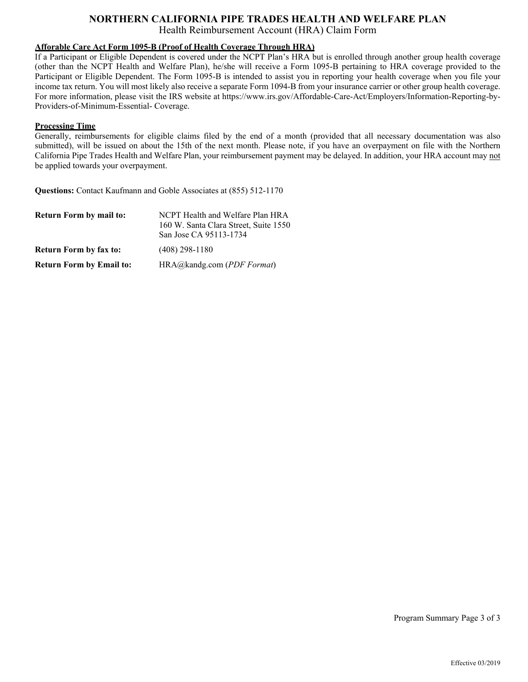#### **Afforable Care Act Form 1095-B (Proof of Health Coverage Through HRA)**

If a Participant or Eligible Dependent is covered under the NCPT Plan's HRA but is enrolled through another group health coverage (other than the NCPT Health and Welfare Plan), he/she will receive a Form 1095-B pertaining to HRA coverage provided to the Participant or Eligible Dependent. The Form 1095-B is intended to assist you in reporting your health coverage when you file your income tax return. You will most likely also receive a separate Form 1094-B from your insurance carrier or other group health coverage. For more information, please visit the IRS website at https://www.irs.gov/Affordable-Care-Act/Employers/Information-Reporting-by-Providers-of-Minimum-Essential- Coverage.

#### **Processing Time**

Generally, reimbursements for eligible claims filed by the end of a month (provided that all necessary documentation was also submitted), will be issued on about the 15th of the next month. Please note, if you have an overpayment on file with the Northern California Pipe Trades Health and Welfare Plan, your reimbursement payment may be delayed. In addition, your HRA account may not be applied towards your overpayment.

**Questions:** Contact Kaufmann and Goble Associates at (855) 512-1170

| <b>Return Form by mail to:</b>  | NCPT Health and Welfare Plan HRA                                |
|---------------------------------|-----------------------------------------------------------------|
|                                 | 160 W. Santa Clara Street, Suite 1550<br>San Jose CA 95113-1734 |
| <b>Return Form by fax to:</b>   | $(408)$ 298-1180                                                |
| <b>Return Form by Email to:</b> | $HRA@kandg.com$ (PDF Format)                                    |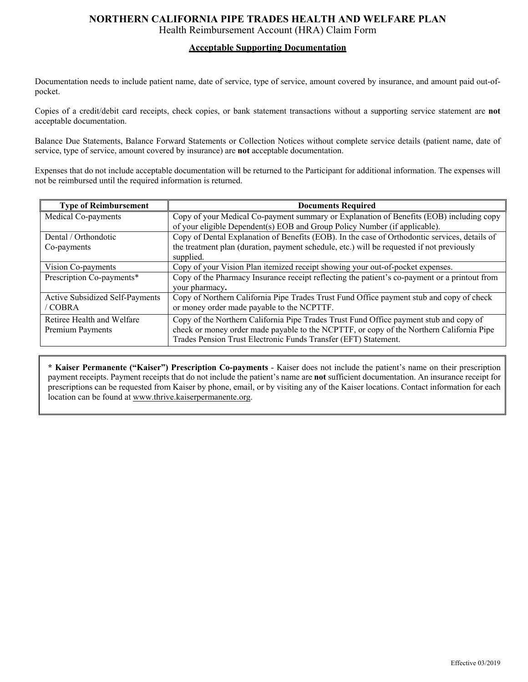#### **Acceptable Supporting Documentation**

Documentation needs to include patient name, date of service, type of service, amount covered by insurance, and amount paid out-ofpocket.

Copies of a credit/debit card receipts, check copies, or bank statement transactions without a supporting service statement are **not** acceptable documentation.

Balance Due Statements, Balance Forward Statements or Collection Notices without complete service details (patient name, date of service, type of service, amount covered by insurance) are **not** acceptable documentation.

Expenses that do not include acceptable documentation will be returned to the Participant for additional information. The expenses will not be reimbursed until the required information is returned.

| <b>Type of Reimbursement</b>           | <b>Documents Required</b>                                                                     |
|----------------------------------------|-----------------------------------------------------------------------------------------------|
| Medical Co-payments                    | Copy of your Medical Co-payment summary or Explanation of Benefits (EOB) including copy       |
|                                        | of your eligible Dependent(s) EOB and Group Policy Number (if applicable).                    |
| Dental / Orthondotic                   | Copy of Dental Explanation of Benefits (EOB). In the case of Orthodontic services, details of |
| Co-payments                            | the treatment plan (duration, payment schedule, etc.) will be requested if not previously     |
|                                        | supplied.                                                                                     |
| Vision Co-payments                     | Copy of your Vision Plan itemized receipt showing your out-of-pocket expenses.                |
| Prescription Co-payments*              | Copy of the Pharmacy Insurance receipt reflecting the patient's co-payment or a printout from |
|                                        | your pharmacy.                                                                                |
| <b>Active Subsidized Self-Payments</b> | Copy of Northern California Pipe Trades Trust Fund Office payment stub and copy of check      |
| / COBRA                                | or money order made payable to the NCPTTF.                                                    |
| Retiree Health and Welfare             | Copy of the Northern California Pipe Trades Trust Fund Office payment stub and copy of        |
| Premium Payments                       | check or money order made payable to the NCPTTF, or copy of the Northern California Pipe      |
|                                        | Trades Pension Trust Electronic Funds Transfer (EFT) Statement.                               |

**\* Kaiser Permanente ("Kaiser") Prescription Co-payments** - Kaiser does not include the patient's name on their prescription payment receipts. Payment receipts that do not include the patient's name are **not** sufficient documentation. An insurance receipt for prescriptions can be requested from Kaiser by phone, email, or by visiting any of the Kaiser locations. Contact information for each location can be found at www.thrive.kaiserpermanente.org.